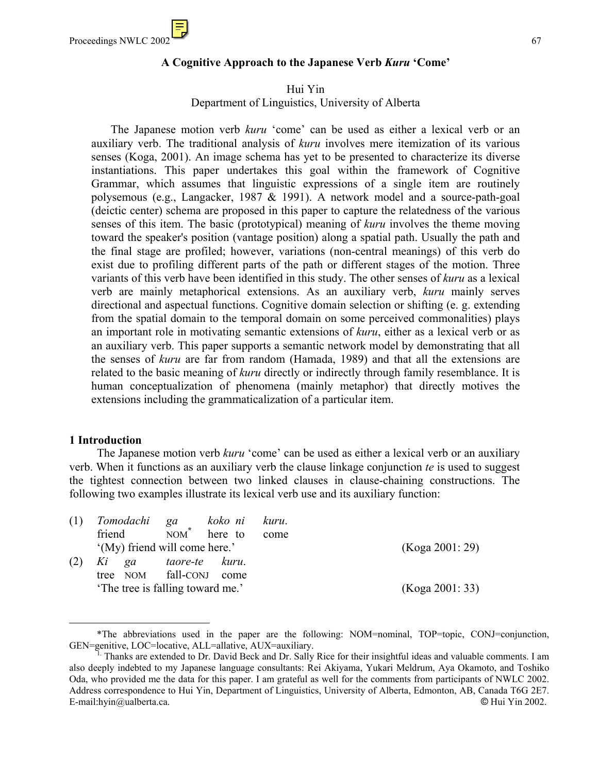### **A Cognitive Approach to the Japanese Verb** *Kuru* **'Come'**

Hui Yin Department of Linguistics, University of Alberta

 The Japanese motion verb *kuru* 'come' can be used as either a lexical verb or an auxiliary verb. The traditional analysis of *kuru* involves mere itemization of its various senses (Koga, 2001). An image schema has yet to be presented to characterize its diverse instantiations. This paper undertakes this goal within the framework of Cognitive Grammar, which assumes that linguistic expressions of a single item are routinely polysemous (e.g., Langacker, 1987 & 1991). A network model and a source-path-goal (deictic center) schema are proposed in this paper to capture the relatedness of the various senses of this item. The basic (prototypical) meaning of *kuru* involves the theme moving toward the speaker's position (vantage position) along a spatial path. Usually the path and the final stage are profiled; however, variations (non-central meanings) of this verb do exist due to profiling different parts of the path or different stages of the motion. Three variants of this verb have been identified in this study. The other senses of *kuru* as a lexical verb are mainly metaphorical extensions. As an auxiliary verb, *kuru* mainly serves directional and aspectual functions. Cognitive domain selection or shifting (e. g. extending from the spatial domain to the temporal domain on some perceived commonalities) plays an important role in motivating semantic extensions of *kuru*, either as a lexical verb or as an auxiliary verb. This paper supports a semantic network model by demonstrating that all the senses of *kuru* are far from random (Hamada, 1989) and that all the extensions are related to the basic meaning of *kuru* directly or indirectly through family resemblance. It is human conceptualization of phenomena (mainly metaphor) that directly motives the extensions including the grammaticalization of a particular item.

#### **1 Introduction**

The Japanese motion verb *kuru* 'come' can be used as either a lexical verb or an auxiliary verb. When it functions as an auxiliary verb the clause linkage conjunction *te* is used to suggest the tightest connection between two linked clauses in clause-chaining constructions. The following two examples illustrate its lexical verb use and its auxiliary function:

| (1) | Tomodachi ga                    | koko ni kuru.   |      |                 |
|-----|---------------------------------|-----------------|------|-----------------|
|     | friend                          | $NOM^*$ here to | come |                 |
|     | '(My) friend will come here.'   |                 |      | (Koga 2001: 29) |
| (2) | Ki ga taore-te kuru.            |                 |      |                 |
|     | tree NOM fall-CONJ come         |                 |      |                 |
|     | The tree is falling toward me.' |                 |      | (Koga 2001: 33) |

<span id="page-0-0"></span> <sup>\*</sup>The abbreviations used in the paper are the following: NOM=nominal, TOP=topic, CONJ=conjunction, GEN=genitive, LOC=locative, ALL=allative, AUX=auxiliary.

 <sup>1.</sup> Thanks are extended to Dr. David Beck and Dr. Sally Rice for their insightful ideas and valuable comments. I am also deeply indebted to my Japanese language consultants: Rei Akiyama, Yukari Meldrum, Aya Okamoto, and Toshiko Oda, who provided me the data for this paper. I am grateful as well for the comments from participants of NWLC 2002. Address correspondence to Hui Yin, Department of Linguistics, University of Alberta, Edmonton, AB, Canada T6G 2E7. E-mail[:hyin@ualberta.ca.](mailto:hyin@ualberta.ca) © Hui Yin 2002.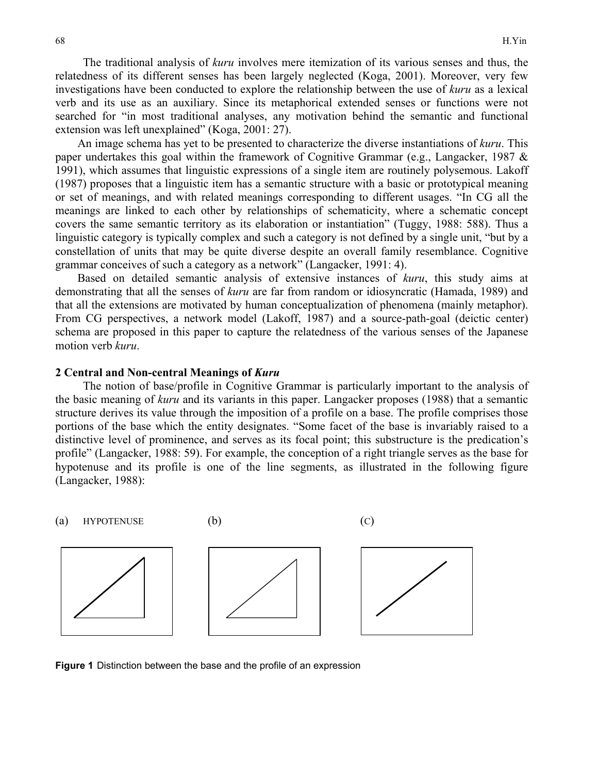The traditional analysis of *kuru* involves mere itemization of its various senses and thus, the relatedness of its different senses has been largely neglected (Koga, 2001). Moreover, very few investigations have been conducted to explore the relationship between the use of *kuru* as a lexical verb and its use as an auxiliary. Since its metaphorical extended senses or functions were not searched for "in most traditional analyses, any motivation behind the semantic and functional extension was left unexplained" (Koga, 2001: 27).

An image schema has yet to be presented to characterize the diverse instantiations of *kuru*. This paper undertakes this goal within the framework of Cognitive Grammar (e.g., Langacker, 1987 & 1991), which assumes that linguistic expressions of a single item are routinely polysemous. Lakoff (1987) proposes that a linguistic item has a semantic structure with a basic or prototypical meaning or set of meanings, and with related meanings corresponding to different usages. "In CG all the meanings are linked to each other by relationships of schematicity, where a schematic concept covers the same semantic territory as its elaboration or instantiation" (Tuggy, 1988: 588). Thus a linguistic category is typically complex and such a category is not defined by a single unit, "but by a constellation of units that may be quite diverse despite an overall family resemblance. Cognitive grammar conceives of such a category as a network" (Langacker, 1991: 4).

Based on detailed semantic analysis of extensive instances of *kuru*, this study aims at demonstrating that all the senses of *kuru* are far from random or idiosyncratic (Hamada, 1989) and that all the extensions are motivated by human conceptualization of phenomena (mainly metaphor). From CG perspectives, a network model (Lakoff, 1987) and a source-path-goal (deictic center) schema are proposed in this paper to capture the relatedness of the various senses of the Japanese motion verb *kuru*.

#### **2 Central and Non-central Meanings of** *Kuru*

The notion of base/profile in Cognitive Grammar is particularly important to the analysis of the basic meaning of *kuru* and its variants in this paper. Langacker proposes (1988) that a semantic structure derives its value through the imposition of a profile on a base. The profile comprises those portions of the base which the entity designates. "Some facet of the base is invariably raised to a distinctive level of prominence, and serves as its focal point; this substructure is the predication's profile" (Langacker, 1988: 59). For example, the conception of a right triangle serves as the base for hypotenuse and its profile is one of the line segments, as illustrated in the following figure (Langacker, 1988):

(a) HYPOTENUSE  $(b)$  (c)



**Figure 1** Distinction between the base and the profile of an expression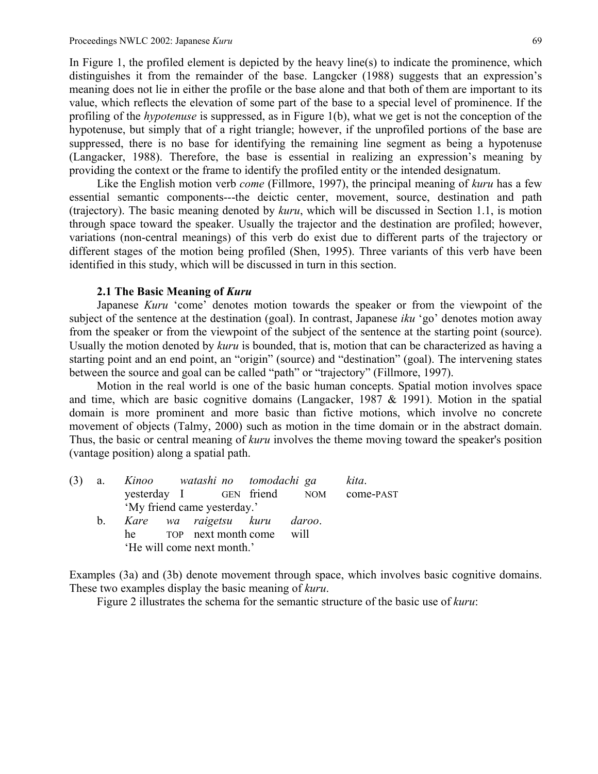In Figure 1, the profiled element is depicted by the heavy line(s) to indicate the prominence, which distinguishes it from the remainder of the base. Langcker (1988) suggests that an expression's meaning does not lie in either the profile or the base alone and that both of them are important to its value, which reflects the elevation of some part of the base to a special level of prominence. If the profiling of the *hypotenuse* is suppressed, as in Figure 1(b), what we get is not the conception of the hypotenuse, but simply that of a right triangle; however, if the unprofiled portions of the base are suppressed, there is no base for identifying the remaining line segment as being a hypotenuse (Langacker, 1988). Therefore, the base is essential in realizing an expression's meaning by providing the context or the frame to identify the profiled entity or the intended designatum.

 Like the English motion verb *come* (Fillmore, 1997), the principal meaning of *kuru* has a few essential semantic components---the deictic center, movement, source, destination and path (trajectory). The basic meaning denoted by *kuru*, which will be discussed in Section 1.1, is motion through space toward the speaker. Usually the trajector and the destination are profiled; however, variations (non-central meanings) of this verb do exist due to different parts of the trajectory or different stages of the motion being profiled (Shen, 1995). Three variants of this verb have been identified in this study, which will be discussed in turn in this section.

#### **2.1 The Basic Meaning of** *Kuru*

 Japanese *Kuru* 'come' denotes motion towards the speaker or from the viewpoint of the subject of the sentence at the destination (goal). In contrast, Japanese *iku* 'go' denotes motion away from the speaker or from the viewpoint of the subject of the sentence at the starting point (source). Usually the motion denoted by *kuru* is bounded, that is, motion that can be characterized as having a starting point and an end point, an "origin" (source) and "destination" (goal). The intervening states between the source and goal can be called "path" or "trajectory" (Fillmore, 1997).

 Motion in the real world is one of the basic human concepts. Spatial motion involves space and time, which are basic cognitive domains (Langacker, 1987 & 1991). Motion in the spatial domain is more prominent and more basic than fictive motions, which involve no concrete movement of objects (Talmy, 2000) such as motion in the time domain or in the abstract domain. Thus, the basic or central meaning of *kuru* involves the theme moving toward the speaker's position (vantage position) along a spatial path.

| (3) |  |  |                                 | a. Kinoo watashi no tomodachi ga |  | kita.                                |  |
|-----|--|--|---------------------------------|----------------------------------|--|--------------------------------------|--|
|     |  |  |                                 |                                  |  | yesterday I GEN friend NOM come-PAST |  |
|     |  |  | 'My friend came yesterday.'     |                                  |  |                                      |  |
|     |  |  | b. Kare wa raigetsu kuru daroo. |                                  |  |                                      |  |
|     |  |  | he TOP next month come will     |                                  |  |                                      |  |
|     |  |  | 'He will come next month.'      |                                  |  |                                      |  |

Examples (3a) and (3b) denote movement through space, which involves basic cognitive domains. These two examples display the basic meaning of *kuru*.

Figure 2 illustrates the schema for the semantic structure of the basic use of *kuru*: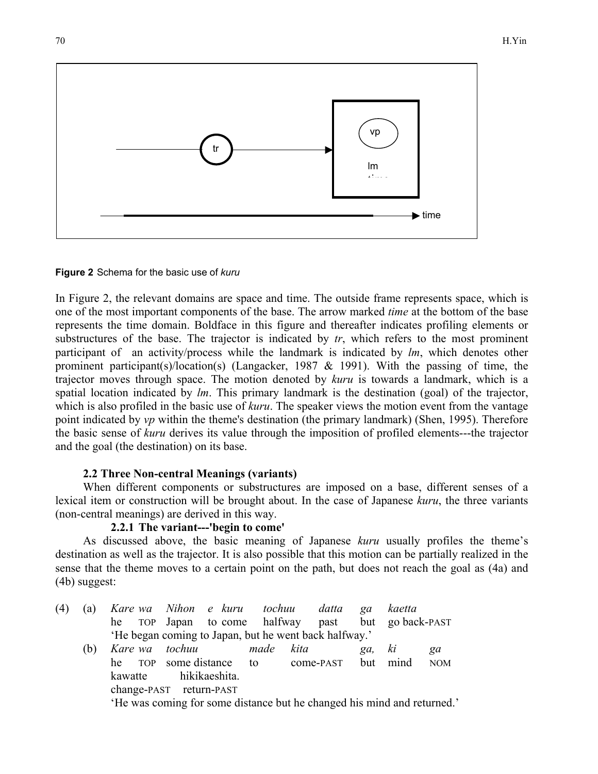

**Figure 2** Schema for the basic use of *kuru*

In Figure 2, the relevant domains are space and time. The outside frame represents space, which is one of the most important components of the base. The arrow marked *time* at the bottom of the base represents the time domain. Boldface in this figure and thereafter indicates profiling elements or substructures of the base. The trajector is indicated by *tr*, which refers to the most prominent participant of an activity/process while the landmark is indicated by *lm*, which denotes other prominent participant(s)/location(s) (Langacker, 1987 & 1991). With the passing of time, the trajector moves through space. The motion denoted by *kuru* is towards a landmark, which is a spatial location indicated by *lm*. This primary landmark is the destination (goal) of the trajector, which is also profiled in the basic use of *kuru*. The speaker views the motion event from the vantage point indicated by *vp* within the theme's destination (the primary landmark) (Shen, 1995). Therefore the basic sense of *kuru* derives its value through the imposition of profiled elements---the trajector and the goal (the destination) on its base.

# **2.2 Three Non-central Meanings (variants)**

When different components or substructures are imposed on a base, different senses of a lexical item or construction will be brought about. In the case of Japanese *kuru*, the three variants (non-central meanings) are derived in this way.

# **2.2.1 The variant---'begin to come'**

As discussed above, the basic meaning of Japanese *kuru* usually profiles the theme's destination as well as the trajector. It is also possible that this motion can be partially realized in the sense that the theme moves to a certain point on the path, but does not reach the goal as (4a) and (4b) suggest:

| (4) | (a) | Kare wa Nihon e kuru tochuu datta                     |                                                                         |               |      |      |                    | qa  | kaetta           |            |  |
|-----|-----|-------------------------------------------------------|-------------------------------------------------------------------------|---------------|------|------|--------------------|-----|------------------|------------|--|
|     |     | he TOP Japan to come halfway past                     |                                                                         |               |      |      |                    |     | but go back-PAST |            |  |
|     |     | 'He began coming to Japan, but he went back halfway.' |                                                                         |               |      |      |                    |     |                  |            |  |
|     | (b) |                                                       | Kare wa tochuu                                                          |               | made | kita |                    | ga, | ki               | ga         |  |
|     |     | he TOP some distance to                               |                                                                         |               |      |      | come-PAST but mind |     |                  | <b>NOM</b> |  |
|     |     | kawatte                                               |                                                                         | hikikaeshita. |      |      |                    |     |                  |            |  |
|     |     | change-PAST return-PAST                               |                                                                         |               |      |      |                    |     |                  |            |  |
|     |     |                                                       | 'He was coming for some distance but he changed his mind and returned.' |               |      |      |                    |     |                  |            |  |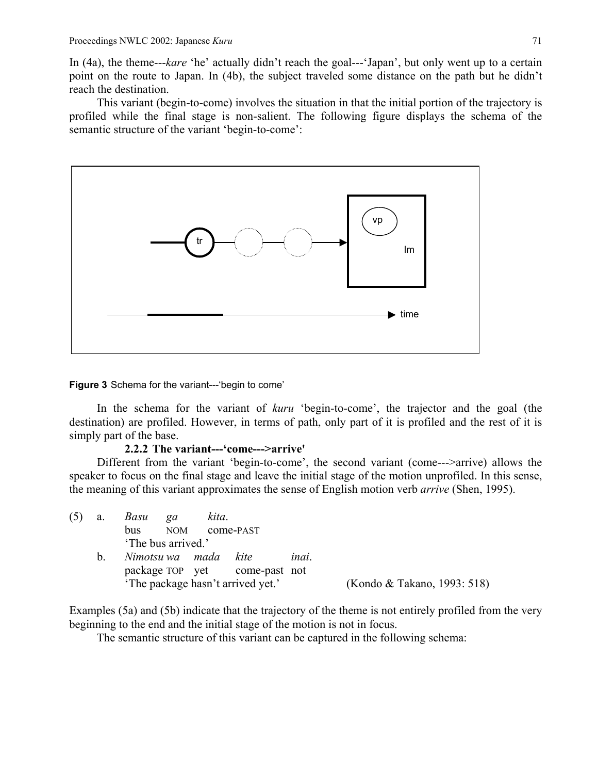In (4a), the theme---*kare* 'he' actually didn't reach the goal---'Japan', but only went up to a certain point on the route to Japan. In (4b), the subject traveled some distance on the path but he didn't reach the destination.

This variant (begin-to-come) involves the situation in that the initial portion of the trajectory is profiled while the final stage is non-salient. The following figure displays the schema of the semantic structure of the variant 'begin-to-come':



**Figure 3** Schema for the variant---'begin to come'

In the schema for the variant of *kuru* 'begin-to-come', the trajector and the goal (the destination) are profiled. However, in terms of path, only part of it is profiled and the rest of it is simply part of the base.

### **2.2.2 The variant---'come--->arrive'**

Different from the variant 'begin-to-come', the second variant (come--->arrive) allows the speaker to focus on the final stage and leave the initial stage of the motion unprofiled. In this sense, the meaning of this variant approximates the sense of English motion verb *arrive* (Shen, 1995).

| (5) | a.          | Basu<br>bus        | qa<br><b>NOM</b> | kita.                | come-PAST                         |       |                             |
|-----|-------------|--------------------|------------------|----------------------|-----------------------------------|-------|-----------------------------|
|     |             | 'The bus arrived.' |                  |                      |                                   |       |                             |
|     | $b_{\rm L}$ |                    |                  | Nimotsu wa mada kite | package TOP yet come-past not     | inai. |                             |
|     |             |                    |                  |                      | 'The package hasn't arrived yet.' |       | (Kondo & Takano, 1993: 518) |

Examples (5a) and (5b) indicate that the trajectory of the theme is not entirely profiled from the very beginning to the end and the initial stage of the motion is not in focus.

The semantic structure of this variant can be captured in the following schema: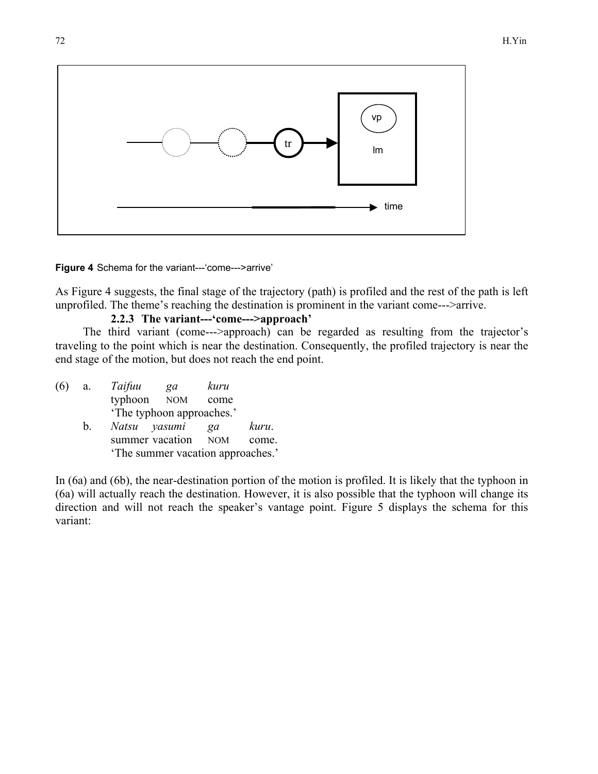

**Figure 4** Schema for the variant---'come--->arrive'

As Figure 4 suggests, the final stage of the trajectory (path) is profiled and the rest of the path is left unprofiled. The theme's reaching the destination is prominent in the variant come--->arrive.

# **2.2.3 The variant---'come--->approach'**

The third variant (come--->approach) can be regarded as resulting from the trajector's traveling to the point which is near the destination. Consequently, the profiled trajectory is near the end stage of the motion, but does not reach the end point.

| a.      | Taifuu | ga | kuru                        |                                                                                       |
|---------|--------|----|-----------------------------|---------------------------------------------------------------------------------------|
|         |        |    | come                        |                                                                                       |
|         |        |    |                             |                                                                                       |
| $b_{-}$ |        |    | ga                          | kuru.                                                                                 |
|         |        |    |                             | come.                                                                                 |
|         |        |    |                             |                                                                                       |
|         |        |    | typhoon NOM<br>Natsu yasumi | 'The typhoon approaches.'<br>summer vacation NOM<br>'The summer vacation approaches.' |

In (6a) and (6b), the near-destination portion of the motion is profiled. It is likely that the typhoon in (6a) will actually reach the destination. However, it is also possible that the typhoon will change its direction and will not reach the speaker's vantage point. Figure 5 displays the schema for this variant: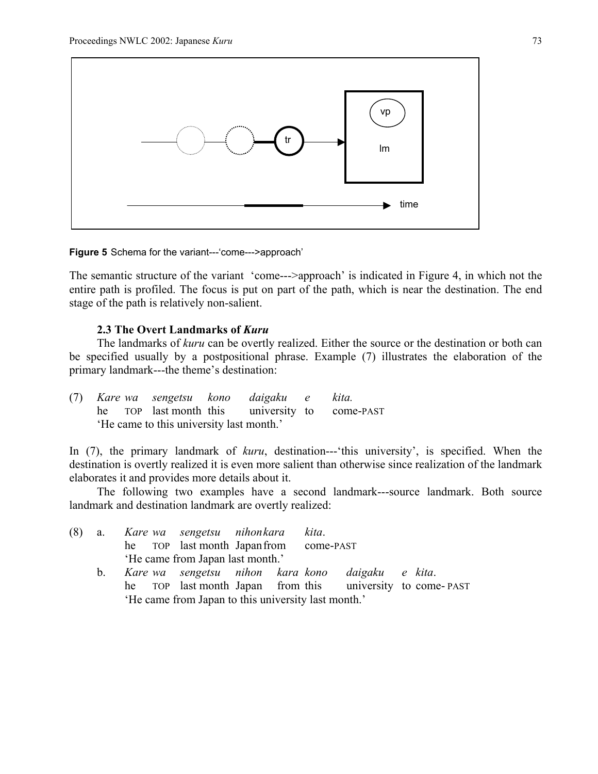

**Figure 5** Schema for the variant---'come--->approach'

The semantic structure of the variant 'come--->approach' is indicated in Figure 4, in which not the entire path is profiled. The focus is put on part of the path, which is near the destination. The end stage of the path is relatively non-salient.

### **2.3 The Overt Landmarks of** *Kuru*

The landmarks of *kuru* can be overtly realized. Either the source or the destination or both can be specified usually by a postpositional phrase. Example (7) illustrates the elaboration of the primary landmark---the theme's destination:

| (7) Kare wa sengetsu kono daigaku e kita. |  |  |  |                                                |
|-------------------------------------------|--|--|--|------------------------------------------------|
|                                           |  |  |  | he TOP last month this university to come-PAST |
| 'He came to this university last month.'  |  |  |  |                                                |

In (7), the primary landmark of *kuru*, destination---'this university', is specified. When the destination is overtly realized it is even more salient than otherwise since realization of the landmark elaborates it and provides more details about it.

The following two examples have a second landmark---source landmark. Both source landmark and destination landmark are overtly realized:

|         | (8) a. Kare wa sengetsu nihonkara kita.                   |
|---------|-----------------------------------------------------------|
|         | he TOP last month Japan from come-PAST                    |
|         | 'He came from Japan last month.'                          |
| $b_{1}$ | Kare wa sengetsu nihon kara kono daigaku e kita.          |
|         | he TOP last month Japan from this university to come-PAST |
|         | 'He came from Japan to this university last month.'       |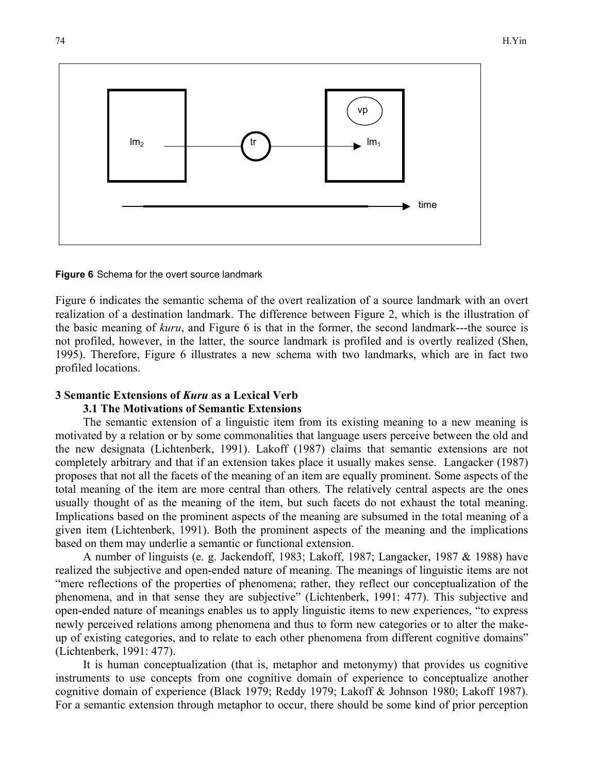

**Figure 6** Schema for the overt source landmark

Figure 6 indicates the semantic schema of the overt realization of a source landmark with an overt realization of a destination landmark. The difference between Figure 2, which is the illustration of the basic meaning of *kuru*, and Figure 6 is that in the former, the second landmark---the source is not profiled, however, in the latter, the source landmark is profiled and is overtly realized (Shen, 1995). Therefore, Figure 6 illustrates a new schema with two landmarks, which are in fact two profiled locations.

### **3 Semantic Extensions of** *Kuru* **as a Lexical Verb**

### **3.1 The Motivations of Semantic Extensions**

The semantic extension of a linguistic item from its existing meaning to a new meaning is motivated by a relation or by some commonalities that language users perceive between the old and the new designata (Lichtenberk, 1991). Lakoff (1987) claims that semantic extensions are not completely arbitrary and that if an extension takes place it usually makes sense. Langacker (1987) proposes that not all the facets of the meaning of an item are equally prominent. Some aspects of the total meaning of the item are more central than others. The relatively central aspects are the ones usually thought of as the meaning of the item, but such facets do not exhaust the total meaning. Implications based on the prominent aspects of the meaning are subsumed in the total meaning of a given item (Lichtenberk, 1991). Both the prominent aspects of the meaning and the implications based on them may underlie a semantic or functional extension.

A number of linguists (e. g. Jackendoff, 1983; Lakoff, 1987; Langacker, 1987 & 1988) have realized the subjective and open-ended nature of meaning. The meanings of linguistic items are not "mere reflections of the properties of phenomena; rather, they reflect our conceptualization of the phenomena, and in that sense they are subjective" (Lichtenberk, 1991: 477). This subjective and open-ended nature of meanings enables us to apply linguistic items to new experiences, "to express newly perceived relations among phenomena and thus to form new categories or to alter the makeup of existing categories, and to relate to each other phenomena from different cognitive domains" (Lichtenberk, 1991: 477).

It is human conceptualization (that is, metaphor and metonymy) that provides us cognitive instruments to use concepts from one cognitive domain of experience to conceptualize another cognitive domain of experience (Black 1979; Reddy 1979; Lakoff & Johnson 1980; Lakoff 1987). For a semantic extension through metaphor to occur, there should be some kind of prior perception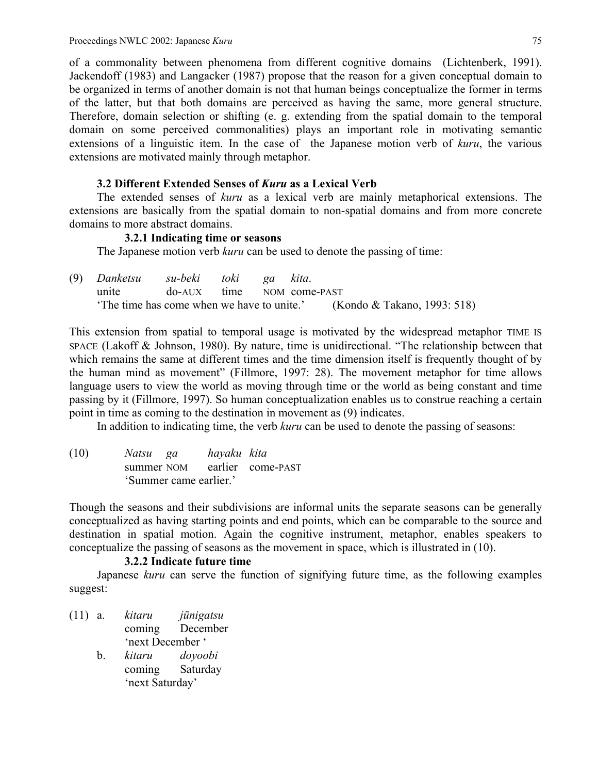of a commonality between phenomena from different cognitive domains (Lichtenberk, 1991). Jackendoff (1983) and Langacker (1987) propose that the reason for a given conceptual domain to be organized in terms of another domain is not that human beings conceptualize the former in terms of the latter, but that both domains are perceived as having the same, more general structure. Therefore, domain selection or shifting (e. g. extending from the spatial domain to the temporal domain on some perceived commonalities) plays an important role in motivating semantic extensions of a linguistic item. In the case of the Japanese motion verb of *kuru*, the various extensions are motivated mainly through metaphor.

# **3.2 Different Extended Senses of** *Kuru* **as a Lexical Verb**

 The extended senses of *kuru* as a lexical verb are mainly metaphorical extensions. The extensions are basically from the spatial domain to non-spatial domains and from more concrete domains to more abstract domains.

# **3.2.1 Indicating time or seasons**

The Japanese motion verb *kuru* can be used to denote the passing of time:

| (9) Danketsu su-beki toki ga kita. |                                                                       |  |  |  |  |
|------------------------------------|-----------------------------------------------------------------------|--|--|--|--|
| unite do-AUX time NOM come-PAST    |                                                                       |  |  |  |  |
|                                    | The time has come when we have to unite.' (Kondo & Takano, 1993: 518) |  |  |  |  |

This extension from spatial to temporal usage is motivated by the widespread metaphor TIME IS SPACE (Lakoff & Johnson, 1980). By nature, time is unidirectional. "The relationship between that which remains the same at different times and the time dimension itself is frequently thought of by the human mind as movement" (Fillmore, 1997: 28). The movement metaphor for time allows language users to view the world as moving through time or the world as being constant and time passing by it (Fillmore, 1997). So human conceptualization enables us to construe reaching a certain point in time as coming to the destination in movement as (9) indicates.

In addition to indicating time, the verb *kuru* can be used to denote the passing of seasons:

(10) *Natsu ga hayaku kita* summer NOM earlier come-PAST 'Summer came earlier.'

Though the seasons and their subdivisions are informal units the separate seasons can be generally conceptualized as having starting points and end points, which can be comparable to the source and destination in spatial motion. Again the cognitive instrument, metaphor, enables speakers to conceptualize the passing of seasons as the movement in space, which is illustrated in (10).

# **3.2.2 Indicate future time**

 Japanese *kuru* can serve the function of signifying future time, as the following examples suggest:

- (11) a. *kitaru jūnigatsu* coming December 'next December '
	- b. *kitaru doyoobi* coming Saturday 'next Saturday'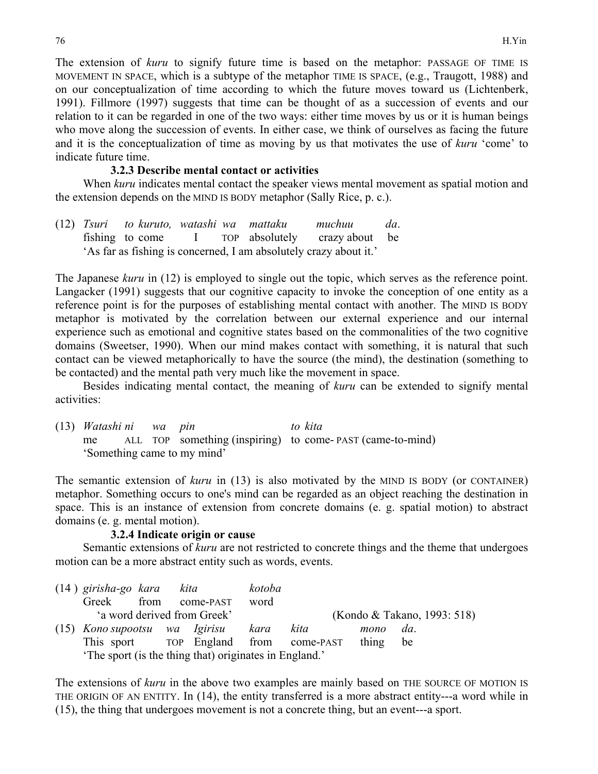The extension of *kuru* to signify future time is based on the metaphor: PASSAGE OF TIME IS MOVEMENT IN SPACE, which is a subtype of the metaphor TIME IS SPACE, (e.g., Traugott, 1988) and on our conceptualization of time according to which the future moves toward us (Lichtenberk, 1991). Fillmore (1997) suggests that time can be thought of as a succession of events and our relation to it can be regarded in one of the two ways: either time moves by us or it is human beings who move along the succession of events. In either case, we think of ourselves as facing the future and it is the conceptualization of time as moving by us that motivates the use of *kuru* 'come' to indicate future time.

### **3.2.3 Describe mental contact or activities**

When *kuru* indicates mental contact the speaker views mental movement as spatial motion and the extension depends on the MIND IS BODY metaphor (Sally Rice, p. c.).

(12) *Tsuri to kuruto, watashi wa mattaku muchuu da*. fishing to come I TOP absolutely crazy about be 'As far as fishing is concerned, I am absolutely crazy about it.'

The Japanese *kuru* in (12) is employed to single out the topic, which serves as the reference point. Langacker (1991) suggests that our cognitive capacity to invoke the conception of one entity as a reference point is for the purposes of establishing mental contact with another. The MIND IS BODY metaphor is motivated by the correlation between our external experience and our internal experience such as emotional and cognitive states based on the commonalities of the two cognitive domains (Sweetser, 1990). When our mind makes contact with something, it is natural that such contact can be viewed metaphorically to have the source (the mind), the destination (something to be contacted) and the mental path very much like the movement in space.

 Besides indicating mental contact, the meaning of *kuru* can be extended to signify mental activities:

(13) *Watashi ni wa pin to kita* me ALL TOP something (inspiring) to come- PAST (came-to-mind) 'Something came to my mind'

The semantic extension of *kuru* in (13) is also motivated by the MIND IS BODY (or CONTAINER) metaphor. Something occurs to one's mind can be regarded as an object reaching the destination in space. This is an instance of extension from concrete domains (e. g. spatial motion) to abstract domains (e. g. mental motion).

### **3.2.4 Indicate origin or cause**

Semantic extensions of *kuru* are not restricted to concrete things and the theme that undergoes motion can be a more abstract entity such as words, events.

| $(14)$ girisha-go kara kita<br>Greek                   |                             | from come-PAST |  | kotoba<br>word |                                       |       |                             |
|--------------------------------------------------------|-----------------------------|----------------|--|----------------|---------------------------------------|-------|-----------------------------|
|                                                        | 'a word derived from Greek' |                |  |                |                                       |       | (Kondo & Takano, 1993: 518) |
| (15) Kono supootsu wa Igirisu kara                     |                             |                |  |                | kita                                  | mono  | $da$ .                      |
|                                                        |                             |                |  |                | This sport TOP England from come-PAST | thing | be                          |
| 'The sport (is the thing that) originates in England.' |                             |                |  |                |                                       |       |                             |

The extensions of *kuru* in the above two examples are mainly based on THE SOURCE OF MOTION IS THE ORIGIN OF AN ENTITY. In (14), the entity transferred is a more abstract entity---a word while in (15), the thing that undergoes movement is not a concrete thing, but an event---a sport.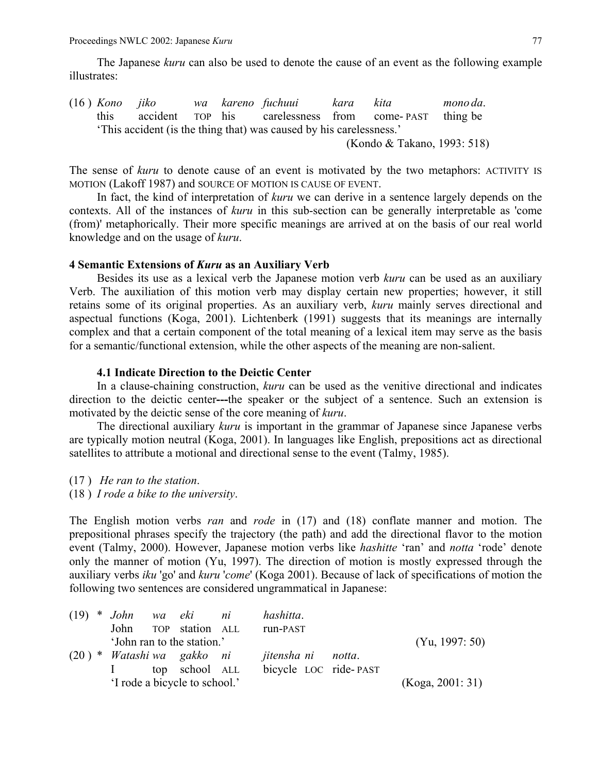The Japanese *kuru* can also be used to denote the cause of an event as the following example illustrates:

(16 ) *Kono jiko wa kareno fuchuui kara kita mono da*. this accident TOP his carelessness from come- PAST thing be 'This accident (is the thing that) was caused by his carelessness.'

(Kondo & Takano, 1993: 518)

The sense of *kuru* to denote cause of an event is motivated by the two metaphors: ACTIVITY IS MOTION (Lakoff 1987) and SOURCE OF MOTION IS CAUSE OF EVENT.

 In fact, the kind of interpretation of *kuru* we can derive in a sentence largely depends on the contexts. All of the instances of *kuru* in this sub-section can be generally interpretable as 'come (from)' metaphorically. Their more specific meanings are arrived at on the basis of our real world knowledge and on the usage of *kuru*.

#### **4 Semantic Extensions of** *Kuru* **as an Auxiliary Verb**

 Besides its use as a lexical verb the Japanese motion verb *kuru* can be used as an auxiliary Verb. The auxiliation of this motion verb may display certain new properties; however, it still retains some of its original properties. As an auxiliary verb, *kuru* mainly serves directional and aspectual functions (Koga, 2001). Lichtenberk (1991) suggests that its meanings are internally complex and that a certain component of the total meaning of a lexical item may serve as the basis for a semantic/functional extension, while the other aspects of the meaning are non-salient.

### **4.1 Indicate Direction to the Deictic Center**

 In a clause-chaining construction, *kuru* can be used as the venitive directional and indicates direction to the deictic center**---**the speaker or the subject of a sentence. Such an extension is motivated by the deictic sense of the core meaning of *kuru*.

 The directional auxiliary *kuru* is important in the grammar of Japanese since Japanese verbs are typically motion neutral (Koga, 2001). In languages like English, prepositions act as directional satellites to attribute a motional and directional sense to the event (Talmy, 1985).

- (17 ) *He ran to the station*.
- (18 ) *I rode a bike to the university*.

The English motion verbs *ran* and *rode* in (17) and (18) conflate manner and motion. The prepositional phrases specify the trajectory (the path) and add the directional flavor to the motion event (Talmy, 2000). However, Japanese motion verbs like *hashitte* 'ran' and *notta* 'rode' denote only the manner of motion (Yu, 1997). The direction of motion is mostly expressed through the auxiliary verbs *iku* 'go' and *kuru* '*come*' (Koga 2001). Because of lack of specifications of motion the following two sentences are considered ungrammatical in Japanese:

|  | $(19) * John wa eki ni$             |  |                            | hashitta.             |  |                     |
|--|-------------------------------------|--|----------------------------|-----------------------|--|---------------------|
|  |                                     |  | John TOP station ALL       | run-PAST              |  |                     |
|  |                                     |  | 'John ran to the station.' |                       |  | $(Y_{u}, 1997: 50)$ |
|  | $(20)$ * <i>Watashi wa gakko ni</i> |  |                            | jitensha ni notta.    |  |                     |
|  |                                     |  | top school ALL             | bicycle LOC ride-PAST |  |                     |
|  | 'I rode a bicycle to school.'       |  | (Koga, 2001: 31)           |                       |  |                     |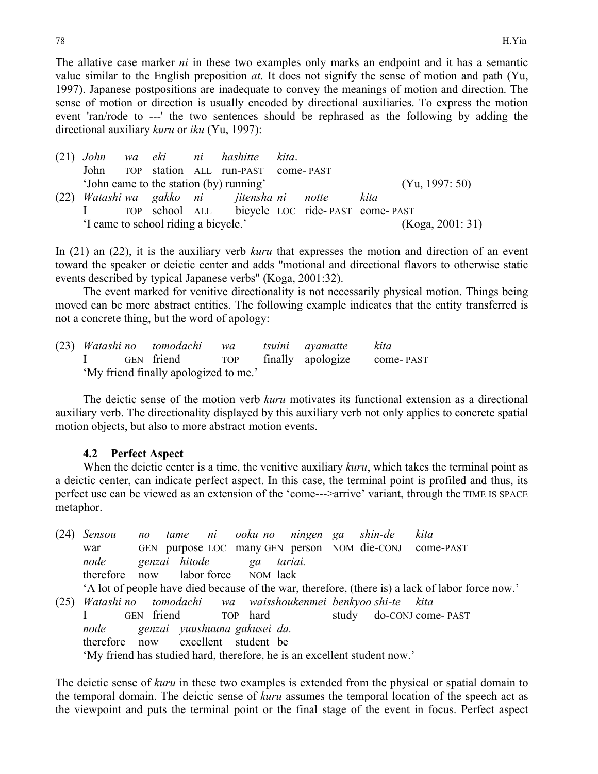The allative case marker *ni* in these two examples only marks an endpoint and it has a semantic value similar to the English preposition *at*. It does not signify the sense of motion and path (Yu, 1997). Japanese postpositions are inadequate to convey the meanings of motion and direction. The sense of motion or direction is usually encoded by directional auxiliaries. To express the motion event 'ran/rode to ---' the two sentences should be rephrased as the following by adding the directional auxiliary *kuru* or *iku* (Yu, 1997):

(21) *John wa eki ni hashitte kita*. John TOP station ALL run-PAST come- PAST 'John came to the station (by) running' (Yu, 1997: 50) (22) *Watashi wa gakko ni jitensha ni notte kita* I TOP school ALL bicycle LOC ride- PAST come- PAST 'I came to school riding a bicycle.' (Koga, 2001: 31)

In (21) an (22), it is the auxiliary verb *kuru* that expresses the motion and direction of an event toward the speaker or deictic center and adds "motional and directional flavors to otherwise static events described by typical Japanese verbs" (Koga, 2001:32).

 The event marked for venitive directionality is not necessarily physical motion. Things being moved can be more abstract entities. The following example indicates that the entity transferred is not a concrete thing, but the word of apology:

(23) *Watashi no tomodachi wa tsuini ayamatte kita* I GEN friend TOP finally apologize come- PAST 'My friend finally apologized to me.'

 The deictic sense of the motion verb *kuru* motivates its functional extension as a directional auxiliary verb. The directionality displayed by this auxiliary verb not only applies to concrete spatial motion objects, but also to more abstract motion events.

### **4.2 Perfect Aspect**

 When the deictic center is a time, the venitive auxiliary *kuru*, which takes the terminal point as a deictic center, can indicate perfect aspect. In this case, the terminal point is profiled and thus, its perfect use can be viewed as an extension of the 'come--->arrive' variant, through the TIME IS SPACE metaphor.

| A lot of people have died because of the war, therefore, (there is) a lack of labor force now.' |  |  |  |  |  |  |  |  |
|-------------------------------------------------------------------------------------------------|--|--|--|--|--|--|--|--|
|                                                                                                 |  |  |  |  |  |  |  |  |
|                                                                                                 |  |  |  |  |  |  |  |  |
| node genzai yuushuuna gakusei da.                                                               |  |  |  |  |  |  |  |  |
|                                                                                                 |  |  |  |  |  |  |  |  |
|                                                                                                 |  |  |  |  |  |  |  |  |
|                                                                                                 |  |  |  |  |  |  |  |  |

The deictic sense of *kuru* in these two examples is extended from the physical or spatial domain to the temporal domain. The deictic sense of *kuru* assumes the temporal location of the speech act as the viewpoint and puts the terminal point or the final stage of the event in focus. Perfect aspect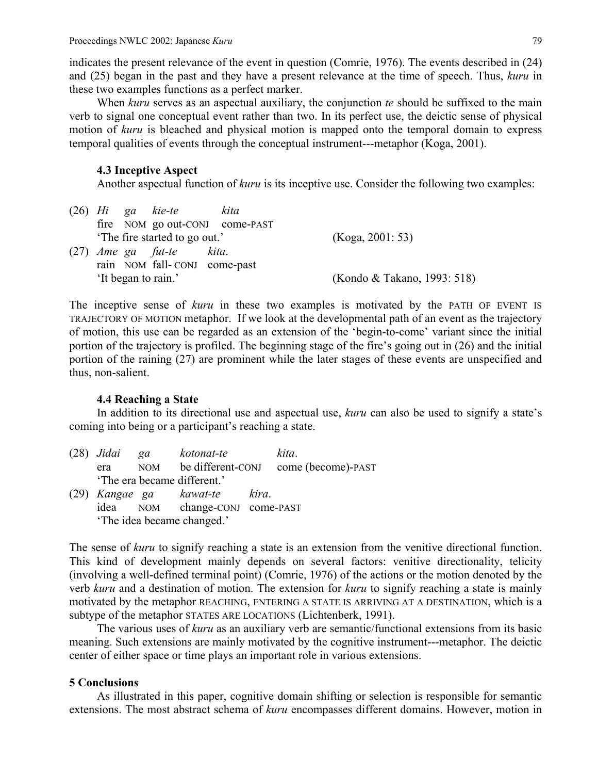indicates the present relevance of the event in question (Comrie, 1976). The events described in (24) and (25) began in the past and they have a present relevance at the time of speech. Thus, *kuru* in these two examples functions as a perfect marker.

 When *kuru* serves as an aspectual auxiliary, the conjunction *te* should be suffixed to the main verb to signal one conceptual event rather than two. In its perfect use, the deictic sense of physical motion of *kuru* is bleached and physical motion is mapped onto the temporal domain to express temporal qualities of events through the conceptual instrument---metaphor (Koga, 2001).

### **4.3 Inceptive Aspect**

Another aspectual function of *kuru* is its inceptive use. Consider the following two examples:

|  |  | $(26)$ Hi ga kie-te          | kita                           |                             |
|--|--|------------------------------|--------------------------------|-----------------------------|
|  |  |                              | fire NOM go out-CONJ come-PAST |                             |
|  |  | The fire started to go out.' |                                | (Koga, 2001: 53)            |
|  |  | $(27)$ <i>Ame ga fut-te</i>  | kita.                          |                             |
|  |  | rain NOM fall-CONJ come-past |                                |                             |
|  |  | 'It began to rain.'          |                                | (Kondo & Takano, 1993: 518) |

The inceptive sense of *kuru* in these two examples is motivated by the PATH OF EVENT IS TRAJECTORY OF MOTION metaphor. If we look at the developmental path of an event as the trajectory of motion, this use can be regarded as an extension of the 'begin-to-come' variant since the initial portion of the trajectory is profiled. The beginning stage of the fire's going out in (26) and the initial portion of the raining (27) are prominent while the later stages of these events are unspecified and thus, non-salient.

### **4.4 Reaching a State**

 In addition to its directional use and aspectual use, *kuru* can also be used to signify a state's coming into being or a participant's reaching a state.

| $(28)$ Jidai                | qa  | kotonat-te                     |       | kita.              |
|-----------------------------|-----|--------------------------------|-------|--------------------|
| era                         | NOM | be different-CONJ              |       | come (become)-PAST |
| 'The era became different.' |     |                                |       |                    |
|                             |     | (29) Kangae ga kawat-te        | kira. |                    |
|                             |     | idea NOM change-CONJ come-PAST |       |                    |
| 'The idea became changed.'  |     |                                |       |                    |

The sense of *kuru* to signify reaching a state is an extension from the venitive directional function. This kind of development mainly depends on several factors: venitive directionality, telicity (involving a well-defined terminal point) (Comrie, 1976) of the actions or the motion denoted by the verb *kuru* and a destination of motion. The extension for *kuru* to signify reaching a state is mainly motivated by the metaphor REACHING, ENTERING A STATE IS ARRIVING AT A DESTINATION, which is a subtype of the metaphor STATES ARE LOCATIONS (Lichtenberk, 1991).

 The various uses of *kuru* as an auxiliary verb are semantic/functional extensions from its basic meaning. Such extensions are mainly motivated by the cognitive instrument---metaphor. The deictic center of either space or time plays an important role in various extensions.

# **5 Conclusions**

As illustrated in this paper, cognitive domain shifting or selection is responsible for semantic extensions. The most abstract schema of *kuru* encompasses different domains. However, motion in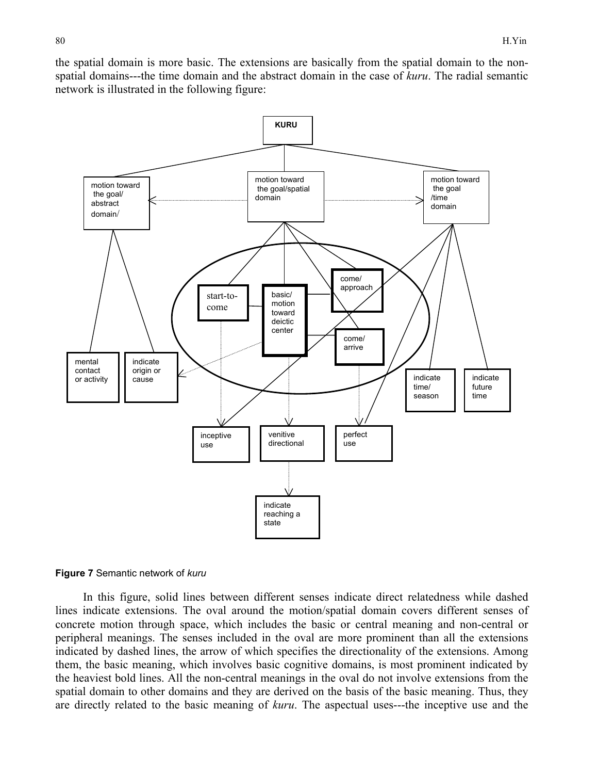the spatial domain is more basic. The extensions are basically from the spatial domain to the nonspatial domains---the time domain and the abstract domain in the case of *kuru*. The radial semantic network is illustrated in the following figure:



#### **Figure 7** Semantic network of *kuru*

In this figure, solid lines between different senses indicate direct relatedness while dashed lines indicate extensions. The oval around the motion/spatial domain covers different senses of concrete motion through space, which includes the basic or central meaning and non-central or peripheral meanings. The senses included in the oval are more prominent than all the extensions indicated by dashed lines, the arrow of which specifies the directionality of the extensions. Among them, the basic meaning, which involves basic cognitive domains, is most prominent indicated by the heaviest bold lines. All the non-central meanings in the oval do not involve extensions from the spatial domain to other domains and they are derived on the basis of the basic meaning. Thus, they are directly related to the basic meaning of *kuru*. The aspectual uses---the inceptive use and the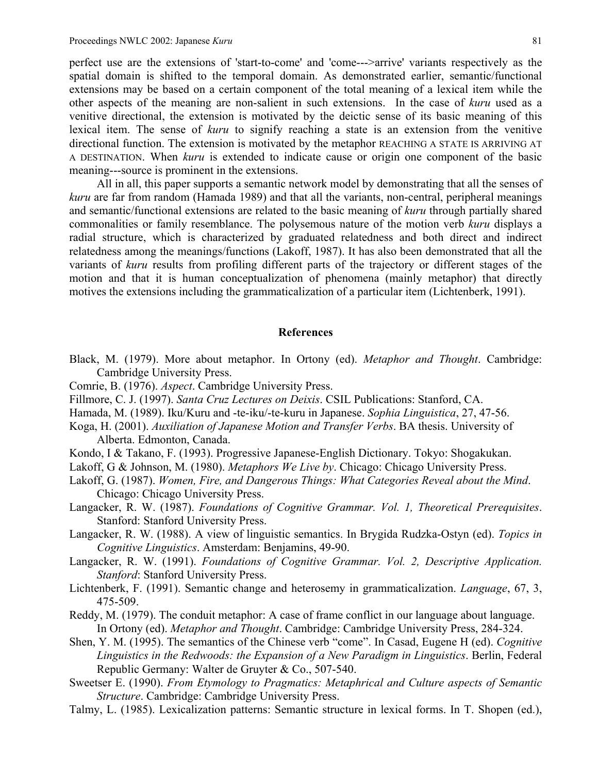perfect use are the extensions of 'start-to-come' and 'come--->arrive' variants respectively as the spatial domain is shifted to the temporal domain. As demonstrated earlier, semantic/functional extensions may be based on a certain component of the total meaning of a lexical item while the other aspects of the meaning are non-salient in such extensions. In the case of *kuru* used as a venitive directional, the extension is motivated by the deictic sense of its basic meaning of this lexical item. The sense of *kuru* to signify reaching a state is an extension from the venitive directional function. The extension is motivated by the metaphor REACHING A STATE IS ARRIVING AT A DESTINATION. When *kuru* is extended to indicate cause or origin one component of the basic meaning---source is prominent in the extensions.

 All in all, this paper supports a semantic network model by demonstrating that all the senses of *kuru* are far from random (Hamada 1989) and that all the variants, non-central, peripheral meanings and semantic/functional extensions are related to the basic meaning of *kuru* through partially shared commonalities or family resemblance. The polysemous nature of the motion verb *kuru* displays a radial structure, which is characterized by graduated relatedness and both direct and indirect relatedness among the meanings/functions (Lakoff, 1987). It has also been demonstrated that all the variants of *kuru* results from profiling different parts of the trajectory or different stages of the motion and that it is human conceptualization of phenomena (mainly metaphor) that directly motives the extensions including the grammaticalization of a particular item (Lichtenberk, 1991).

#### **References**

- Black, M. (1979). More about metaphor. In Ortony (ed). *Metaphor and Thought*. Cambridge: Cambridge University Press.
- Comrie, B. (1976). *Aspect*. Cambridge University Press.
- Fillmore, C. J. (1997). *Santa Cruz Lectures on Deixis*. CSIL Publications: Stanford, CA.
- Hamada, M. (1989). Iku/Kuru and -te-iku/-te-kuru in Japanese. *Sophia Linguistica*, 27, 47-56.
- Koga, H. (2001). *Auxiliation of Japanese Motion and Transfer Verbs*. BA thesis. University of Alberta. Edmonton, Canada.
- Kondo, I & Takano, F. (1993). Progressive Japanese-English Dictionary. Tokyo: Shogakukan.

Lakoff, G & Johnson, M. (1980). *Metaphors We Live by*. Chicago: Chicago University Press.

- Lakoff, G. (1987). *Women, Fire, and Dangerous Things: What Categories Reveal about the Mind*. Chicago: Chicago University Press.
- Langacker, R. W. (1987). *Foundations of Cognitive Grammar. Vol. 1, Theoretical Prerequisites*. Stanford: Stanford University Press.
- Langacker, R. W. (1988). A view of linguistic semantics. In Brygida Rudzka-Ostyn (ed). *Topics in Cognitive Linguistics*. Amsterdam: Benjamins, 49-90.
- Langacker, R. W. (1991). *Foundations of Cognitive Grammar. Vol. 2, Descriptive Application. Stanford*: Stanford University Press.
- Lichtenberk, F. (1991). Semantic change and heterosemy in grammaticalization. *Language*, 67, 3, 475-509.
- Reddy, M. (1979). The conduit metaphor: A case of frame conflict in our language about language. In Ortony (ed). *Metaphor and Thought*. Cambridge: Cambridge University Press, 284-324.
- Shen, Y. M. (1995). The semantics of the Chinese verb "come". In Casad, Eugene H (ed). *Cognitive Linguistics in the Redwoods: the Expansion of a New Paradigm in Linguistics*. Berlin, Federal Republic Germany: Walter de Gruyter & Co., 507-540.
- Sweetser E. (1990). *From Etymology to Pragmatics: Metaphrical and Culture aspects of Semantic Structure*. Cambridge: Cambridge University Press.
- Talmy, L. (1985). Lexicalization patterns: Semantic structure in lexical forms. In T. Shopen (ed.),